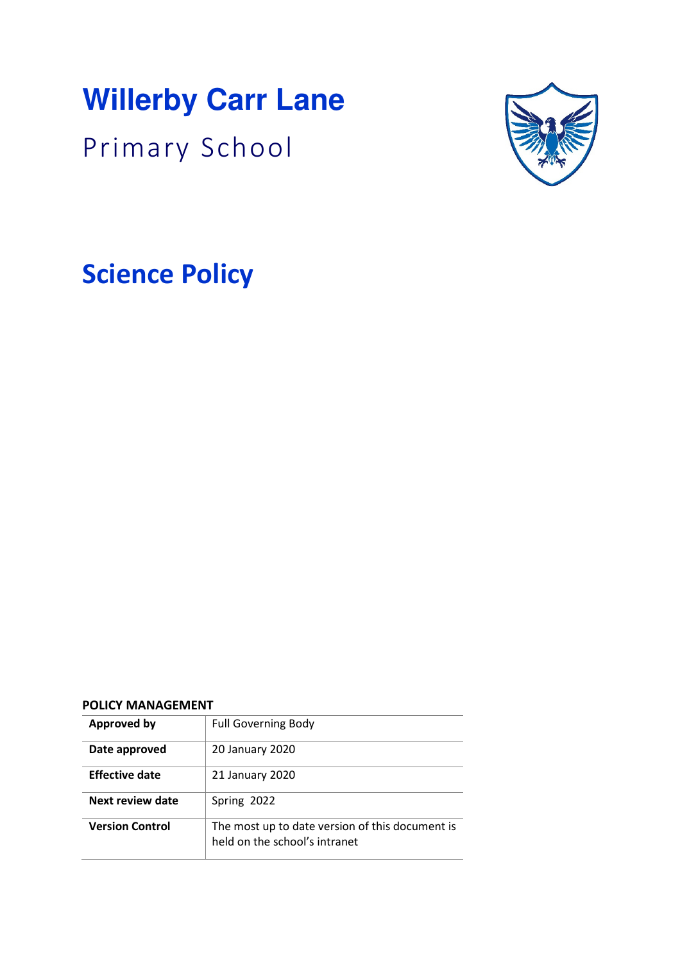# **Willerby Carr Lane**

Primary School



**Science Policy** 

#### **POLICY MANAGEMENT**

| <b>Approved by</b>     | <b>Full Governing Body</b>                                                       |
|------------------------|----------------------------------------------------------------------------------|
| Date approved          | 20 January 2020                                                                  |
| <b>Effective date</b>  | 21 January 2020                                                                  |
| Next review date       | Spring 2022                                                                      |
| <b>Version Control</b> | The most up to date version of this document is<br>held on the school's intranet |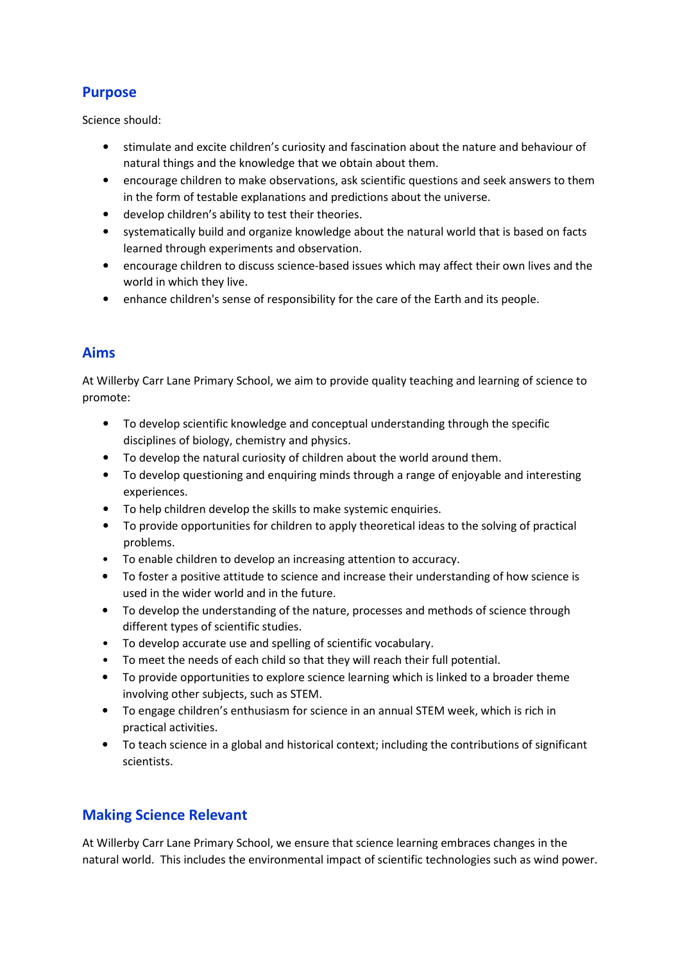# **Purpose**

Science should:

- stimulate and excite children's curiosity and fascination about the nature and behaviour of natural things and the knowledge that we obtain about them.
- encourage children to make observations, ask scientific questions and seek answers to them in the form of testable explanations and predictions about the universe.
- develop children's ability to test their theories.
- systematically build and organize knowledge about the natural world that is based on facts learned through experiments and observation.
- encourage children to discuss science-based issues which may affect their own lives and the world in which they live.
- enhance children's sense of responsibility for the care of the Earth and its people.

## **Aims**

At Willerby Carr Lane Primary School, we aim to provide quality teaching and learning of science to promote:

- To develop scientific knowledge and conceptual understanding through the specific disciplines of biology, chemistry and physics.
- To develop the natural curiosity of children about the world around them.
- To develop questioning and enquiring minds through a range of enjoyable and interesting experiences.
- To help children develop the skills to make systemic enquiries.
- To provide opportunities for children to apply theoretical ideas to the solving of practical problems.
- To enable children to develop an increasing attention to accuracy.
- To foster a positive attitude to science and increase their understanding of how science is used in the wider world and in the future.
- To develop the understanding of the nature, processes and methods of science through different types of scientific studies.
- To develop accurate use and spelling of scientific vocabulary.
- To meet the needs of each child so that they will reach their full potential.
- To provide opportunities to explore science learning which is linked to a broader theme involving other subjects, such as STEM.
- To engage children's enthusiasm for science in an annual STEM week, which is rich in practical activities.
- To teach science in a global and historical context; including the contributions of significant scientists.

# **Making Science Relevant**

At Willerby Carr Lane Primary School, we ensure that science learning embraces changes in the natural world. This includes the environmental impact of scientific technologies such as wind power.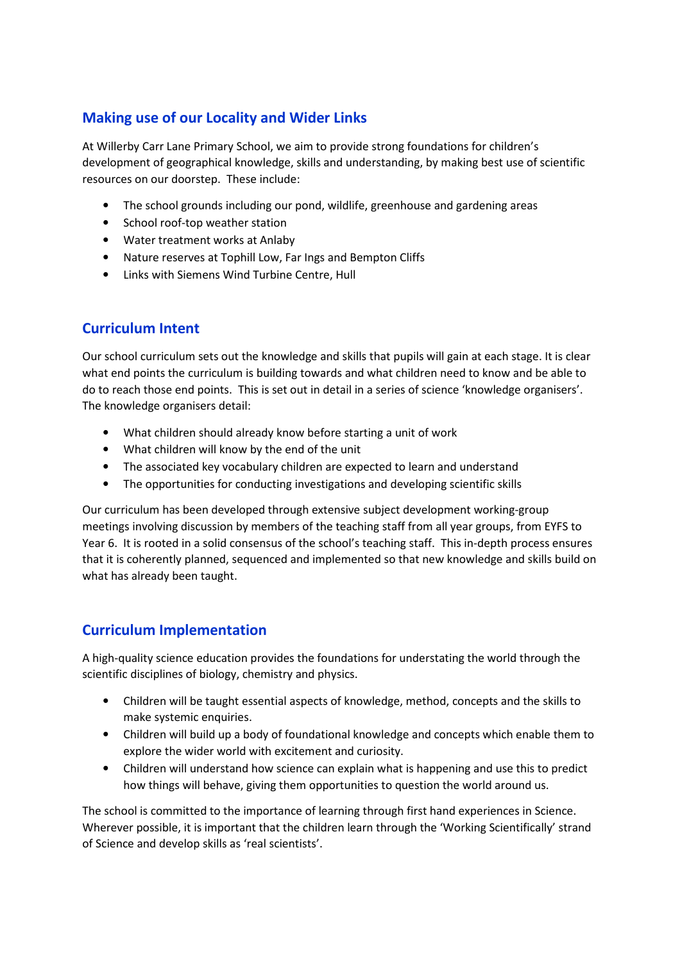# **Making use of our Locality and Wider Links**

At Willerby Carr Lane Primary School, we aim to provide strong foundations for children's development of geographical knowledge, skills and understanding, by making best use of scientific resources on our doorstep. These include:

- The school grounds including our pond, wildlife, greenhouse and gardening areas
- School roof-top weather station
- Water treatment works at Anlaby
- Nature reserves at Tophill Low, Far Ings and Bempton Cliffs
- Links with Siemens Wind Turbine Centre, Hull

## **Curriculum Intent**

Our school curriculum sets out the knowledge and skills that pupils will gain at each stage. It is clear what end points the curriculum is building towards and what children need to know and be able to do to reach those end points. This is set out in detail in a series of science 'knowledge organisers'. The knowledge organisers detail:

- What children should already know before starting a unit of work
- What children will know by the end of the unit
- The associated key vocabulary children are expected to learn and understand
- The opportunities for conducting investigations and developing scientific skills

Our curriculum has been developed through extensive subject development working-group meetings involving discussion by members of the teaching staff from all year groups, from EYFS to Year 6. It is rooted in a solid consensus of the school's teaching staff. This in-depth process ensures that it is coherently planned, sequenced and implemented so that new knowledge and skills build on what has already been taught.

## **Curriculum Implementation**

A high-quality science education provides the foundations for understating the world through the scientific disciplines of biology, chemistry and physics.

- Children will be taught essential aspects of knowledge, method, concepts and the skills to make systemic enquiries.
- Children will build up a body of foundational knowledge and concepts which enable them to explore the wider world with excitement and curiosity.
- Children will understand how science can explain what is happening and use this to predict how things will behave, giving them opportunities to question the world around us.

The school is committed to the importance of learning through first hand experiences in Science. Wherever possible, it is important that the children learn through the 'Working Scientifically' strand of Science and develop skills as 'real scientists'.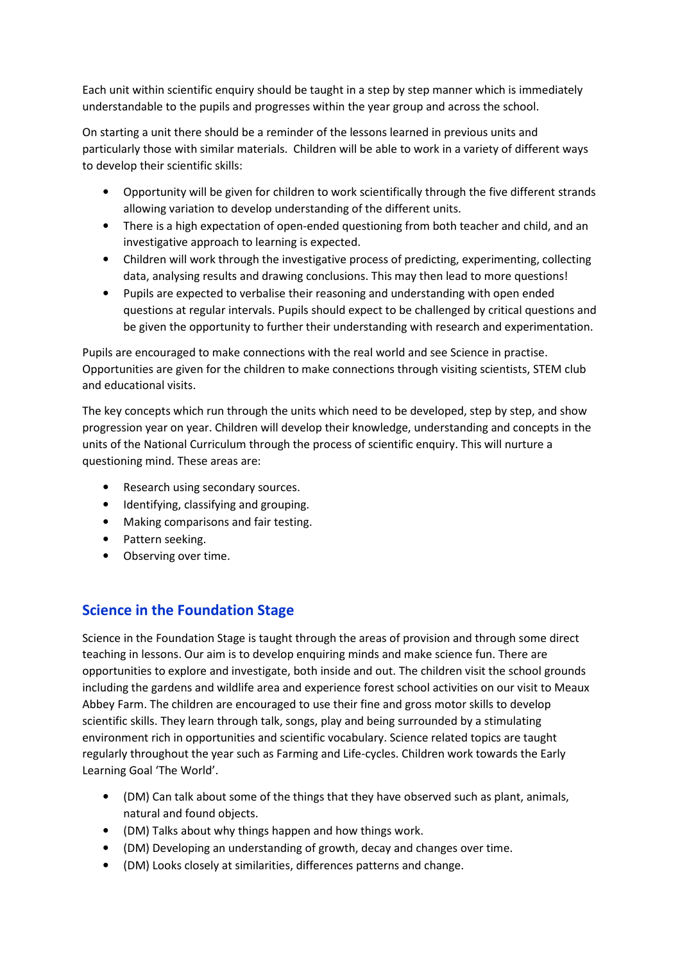Each unit within scientific enquiry should be taught in a step by step manner which is immediately understandable to the pupils and progresses within the year group and across the school.

On starting a unit there should be a reminder of the lessons learned in previous units and particularly those with similar materials. Children will be able to work in a variety of different ways to develop their scientific skills:

- Opportunity will be given for children to work scientifically through the five different strands allowing variation to develop understanding of the different units.
- There is a high expectation of open-ended questioning from both teacher and child, and an investigative approach to learning is expected.
- Children will work through the investigative process of predicting, experimenting, collecting data, analysing results and drawing conclusions. This may then lead to more questions!
- Pupils are expected to verbalise their reasoning and understanding with open ended questions at regular intervals. Pupils should expect to be challenged by critical questions and be given the opportunity to further their understanding with research and experimentation.

Pupils are encouraged to make connections with the real world and see Science in practise. Opportunities are given for the children to make connections through visiting scientists, STEM club and educational visits.

The key concepts which run through the units which need to be developed, step by step, and show progression year on year. Children will develop their knowledge, understanding and concepts in the units of the National Curriculum through the process of scientific enquiry. This will nurture a questioning mind. These areas are:

- Research using secondary sources.
- Identifying, classifying and grouping.
- Making comparisons and fair testing.
- Pattern seeking.
- Observing over time.

# **Science in the Foundation Stage**

Science in the Foundation Stage is taught through the areas of provision and through some direct teaching in lessons. Our aim is to develop enquiring minds and make science fun. There are opportunities to explore and investigate, both inside and out. The children visit the school grounds including the gardens and wildlife area and experience forest school activities on our visit to Meaux Abbey Farm. The children are encouraged to use their fine and gross motor skills to develop scientific skills. They learn through talk, songs, play and being surrounded by a stimulating environment rich in opportunities and scientific vocabulary. Science related topics are taught regularly throughout the year such as Farming and Life-cycles. Children work towards the Early Learning Goal 'The World'.

- (DM) Can talk about some of the things that they have observed such as plant, animals, natural and found objects.
- (DM) Talks about why things happen and how things work.
- (DM) Developing an understanding of growth, decay and changes over time.
- (DM) Looks closely at similarities, differences patterns and change.